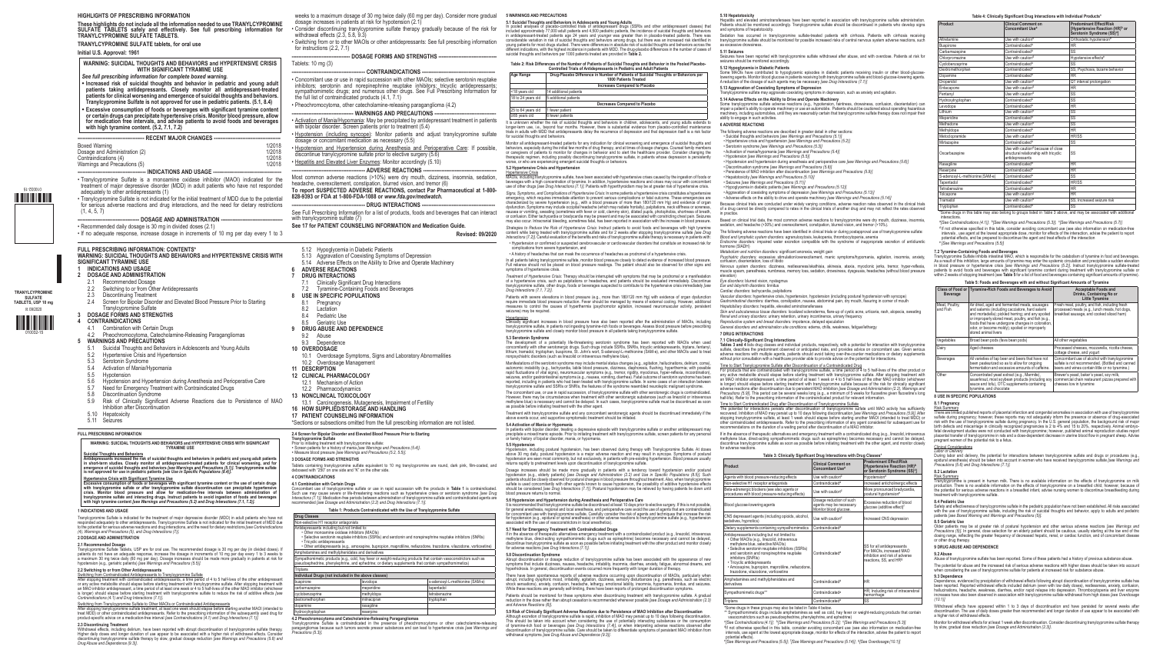**5.1 Suicidal Thoughts and Behaviors in Adolescents and Young Adults**

<18 years old 14 additional patients 18 to 24 years old  $\Big|$  5 additional patients

25 to 64 years old 1 fewer patient ≥65 years old 6 fewer patients

**Table 2: Risk Differences of the Number of Patients of Suicidal Thoughts and Behavior in the Pooled Placebo-Controlled Trials of Antidepressants in Pediatric and Adult Patients Age Range Drug-Placebo Difference in Number of Patients of Suicidal Thoughts or Behaviors per** 

Monitor all antidepressant-treated patients for any indication for clinical worsening and emergence of suicidal thoughts and<br>behaviors, especially during the initial few months of drug therapy, and at times of dosage chang

**1000 Patients Treated Increases Compared to Placebo**

**Decreases Compared to Placebo**

Signs, Symptoms, and Complications of Hypertensive Cristis: In some patients a hypertensive cristis constitutes a hypertensive energency, which requires immediate attention to prevent serious complications or fatal outcome *Strategies to Reduce the Risk of Hypertensive Crisis:* Instruct patients to avoid foods and beverages with high tyramine

content while being treated with tranylcypromine sulfate and for 2 weeks after stopping tranylcypromine sulfate *[see Drug*<br>*Interactions (7.2)].* Careful evaluation of the benefits and risks of tranylcypromine sulfate the • Hypertension or confirmed or suspected cerebrovascular or cardiovascular disorders that constitute an increased risk for

mplications from severe hypertension, and • A history of headaches that can mask the occurrence of headaches as prodromal of a hypertensive crisis.

In all patients taking tranylcypromine sulfate, monitor blood pressure closely to detect evidence of increased blood pressure.<br>Full reliance should not be placed on blood pressure readings. The patient should also be obser simulo criteria...

Treatment of Hypertensive Crisis: Therapy should be interrupted with symptoms that may be prodromal or a manifestation<br>of a hypertensive crisis, such as palpitations or headaches, and patients should be evaluated immediate

Patients with severe elevations in blood pressure (e.g., more than 180/120 mm Hg) with evidence of organ dysfunction<br>require immediate blood pressure reduction. Fever should be managed by means of external cooling. However seizures) may be required

Hypertension<br>Clinically significant increases in blood pressure have also been reported after the administration of MAOIs, including tranylcypromine sulfate, in patients not ingesting tyramine-rich foods or beverages. Assess blood pressure before prescribing<br>tranylcypromine sulfate and closely monitor blood pressure in all patients taking tranylcypromin

### **5.3 Serotonin Syndrom**

The development of a potentially life-threatening serotonin syndrome has been reported with MAOIs when used<br>concomitantly with other serotonergic drugs. Such drugs include SSRIs, SNRIs, tricyclic antidepressants, triptans,

Manifestations of the serotonin syndrome may include mental status changes (e.g., agitation, hallucinations, delirium, coma),<br>autonomic instability (e.g., tachycardia, labile blood pressure, dizziness, diaphoresis, flushin reported, including in patients who had been treated with tranylcypromine sulfate. In some cases of an interaction between<br>tranylcypromine sulfate and SSRIs or SNRIs, the features of the syndrome resembled neuroleptic mali

The concomitant use, or use in rapid succession, of tranylcypromine sulfate with other serotonergic drugs is contraindicated.<br>However, there may be circumstances when treatment with other serotonergic substances (such as l

**5.2 Hypertensive Crisis and Hypertension**

or suicidal thoughts and behaviors.

Dosage increases should be made more gradually in patients with a tendency toward hypotension and/or postural<br>hypotension (e.g., elderly patients) (see Dosage and Administration (2.2) and Use in Specific Populations (8.5)[ blood pressure returns to normal.

Abrupt discontinuation or dosage reduction of tranylcypromine sulfate has been associated with the appearance of new symptoms that include dizziness, nausea, headache, irritability, insomnia, diarrhea, anxiety, fatigue, abnormal dreams, and<br>hyperhidrosis. In general, discontinuation events occurred more frequently with longer duration of

There have been spontaneous reports of adverse reactions occurring upon discontinuation of MAOIs, particularly when<br>abrupt, including dysphoric mood, irritability, agitation, dizziness, sensory disturbances (e.g. paresthes

Patients should be monitored for these symptoms when discontinuing treatment with tranylcypromine sulfate. A gradual<br>reduction in the dose rather than abrupt cessation is recommended whenever possible [see Dosage and Admin *and Adverse Reactions (6)].*<br>5.9 Risk of Clinically Significant Adverse Reactions due to Persistence of MAO Inhibition after Discontinuation

5.9 Risk of Clinically Significant Adverse Reactions due to Persistence of MAO Inhibition after Discontinuation<br>Although excretion of trany/cypromine sulfate is rapid, inhibition of MAO may persist up to 10 days following

**5.10 Hepatotoxicity**<br>Hepatitis and elevated aminotransferases have been reported in association with tranylcypromine sulfate administration.<br>Patients should be monitored accordingly. Tranylcypromine sulfate should be disc and symptoms of hepatotoxicity.

Sedation has occurred in tranylcypromine sulfate-treated patients with cirrhosis. Patients with cirrhosis receiving tranylcypromine sulfate should be monitored for possible increased risks of central nervous system adverse reactions, such as excessive drowsiness.

## In pooled analyses of placebo-controlled trials of antidepressant drugs (SSRIs and other antidepressant classes) that included approximately 77,000 adult patients and 4,500 pediatric patients. The incidence of suicidal tho **5.11 Seizures**

shave been reported with tranylcypromine sulfate withdrawal after abuse, and with overdose. Patients at risk for seizures should be monitored accordingly.

**5.12 Hypoglycemia in Diabetic Patients**<br>Some MAOIs have contributed to hypoglycemic episodes in diabetic patients receiving insulin or other blood-glucose-<br>lowering agents. Monitor blood glucose in patients receiving both

**5.13 Aggravation of Coexisting Symptoms of Depression**<br>Tranylcypromine sulfate may aggravate coexisting symptoms in depression, such as anxiety and agitation.

**5.14 Adverse Effects on the Ability to Drive and Operate Machinery**<br>Some tranylcypromine sulfate adverse reactions (e.g., hypotension, faintness, drowsiness, confusion, disorientation) can<br>impair a patient's ability to op machinery, including automobiles, until they are reasonably certain that tranylcypromine sulfate therapy does not impair their ability to engage in such activities.

### It is unknown whether the risk of suicidal thoughts and behaviors in children, adolescents, and young adults extends to<br>longer-term use, i.e., beyond four months. However, there is substantial evidence from placebo-control **6 ADVERSE REACTIONS**

Treatment with tranylcypromine sulfate and any concomitant serotonergic agents should be discontinued immediately if the above events occur, and supportive symptomatic treatment should be initiated.

Because clinical trials are conducted under widely varying conditions, adverse reaction rates observed in the clinical trials<br>of a drug cannot be directly compared to rates in the clinical trials of another drug and may no in practice.

Based on clinical trial data, the most common adverse reactions to tranylcypromine were dry mouth, dizziness, insomnia, sedation, and headache (>30%) and overexcitement, constipation, blurred vision, and tremor (>10%).

*Blood and lymphatic system disorders:* agranulocytosis, leukopenia, thrombocytopenia, anemia *Endocrine disorders:* impaired water excretion compatible with the syndrome of inappropriate secretion of antidiuretic ormone (SIADH)

**5.4 Activation of Mania or Hypomania** In patients with bipolar disorder, treating a depressive episode with tranylcypromine sulfate or another antidepressant may precipitate a mixed/manic episode. Prior to initiating treatment with tranylcypromine sulfate, screen patients for any personal or family history of bipolar disorder, mania, or hypomania.

### **5.5 Hypotension**

Hypotension, including postural hypotension, has been observed during therapy with Tranylcypromine Sulfate. At doses<br>above 30 mg daily, postural hypotension is a major adverse reaction and may result in syncope. Symptoms o

### **5.6 Hypotension and Hypertension during Anesthesia and Perioperative Care**

Iti s'recommended that tranylogynomine sulfate be discontinued at least 10 days prior to elective surgery. If this is not possible,<br>for general anesthesia, regional and local anesthesia, and perioperative care avoid the us

5.7 Need for Emergency Treatment with Contraindicated Drugs<br>If in the absence of therapeutic alternatives emergency treatment with a contraindicated product (e.g., linezolid, intravenous<br>methylene blue, direct-acting sympa

<u>Time to Start Contraindicated Drug after Discontinuation of Tranylcypromine Sulfate<br>The potential for interactions persists after discontinuation of tranylcypromine sulfate until MAO activity has sufficiently<br>recovered. I</u> other contraindicated antidepressants. Refer to the prescribing information of any agent considered for subsequent use for recommendations on the duration of a waiting period after discontinuation of a MAO inhibitor.

### **Table 3: Clinically Significant Drug Interactions with Drug Classes\* Product Product Product Product Product Product Product Product Product Product Product Product Concomitant Usea Predominant Effect/Risk (Hypertensive Reaction (HR)<sup>b</sup>**<br>or Serotonin Syndrome (SS)<sup>c</sup>] Agents with blood pressure-reducing effects  $|U$ se with caution<sup>d</sup> | Hypotension<sup>e</sup> elective H1 receptor antagonists Contraindicated<sup>a</sup> Increased anticholinergic effects Beta-adrenergic blockers (see also agents or  $\vert$  Use with caution<sup>d</sup> More pronounced bradycardia, procedures with blood pressure-reducing effects) Use with caution<sup>d</sup> postural hypotension<sup>e</sup> postural hypotensione od glucose-lowering agents Dosage reduction of such agents may be necessary. Monitor blood glucose. Excessive reduction of blood ose (additive effect) CNS depressant agents (including opioids, alcohol,  $|$ Use with caution<sup>d</sup> increased CNS depression<br>sedatives, hypnotics) etary supplements containing sympathomimetics Antidepressants including but not limited to: • Other MAOIs (e.g., linezolid, intravenous methylene blue, selective MAOIs) • Selective serotonin reuptake inhibitors (SSRIs) and serotonin and norepinephrine reuptake na corotonimano • Tricyclic antidepressants • Amoxapine, bupropion, maprotiline, nefazodone, trazodone, vilazodone, vortioxetine Contraindicateda SS for all antidepressants For MAOIs, increased MAO inhibition and risk of adverse<br>reactions, SS, and HRª Amphetamines and methylphenidates and <br>derivatives derivatives and Contraindicated<sup>a</sup> HR noathomimetic drugs\*\* contraindicated<sup>a</sup> HR; Including risk of intracerebral

Triptans Contraindicated<sup>a</sup>

Some drugs in these groups may also be listed in Table 4 below.

\*\* Sympathomimetic drugs include amphetamines as well as cold, hay fever or weight-reducing products that contain<br>- vasoconstrictors such as pseudoephedrine, phenylephrine, and ephedrine)<br>\*|See Contraindications (4.1)]; \*|

### **5.8 Discontinuation Syndrome**

The following adverse reactions are described in greater detail in other sections: • Suicidal thoughts and behaviors *[see Warnings and Precautions (5.1)]*

Older patients may be at greater risk of postural hypotension and other serious adverse reactions *[see Warnings and Precautions (5)].* In general, dose selection for an elderly patient should be cautious, usually starting at the low end of the<br>dosing range, reflecting the greater frequency of decreased hepatic, renal, or cardiac functi

• Hypertensive crisis and hypertension *[see Warnings and Precautions (5.2)]*

The potential for abuse and the increased risk of serious adverse reactions with higher doses should be taken into account when considering the use of tranylcypromine sulfate for patients at increased risk for substance abuse.

- Serotonin syndrome *[see Warnings and Precautions (5.3)]* Activation of mania/hypomania *[see Warnings and Precautions (5.4)]*
- Hypotension *[see Warnings and Precautions (5.5)]*
- Hypotension and hypertension during anesthesia and perioperative care *[see Warnings and Precautions (5.6)]*<br>• Discontinuation syndrome *[see Warnings and Precautions (5.8)]*<br>• Persistence of MAO inhibition after discont
- 
- Hepatotoxicity *[see Warnings and Precautions (5.10)]*
- 
- Seizures *[see Warnings and Precautions (5.11)]* Hypoglycemia in diabetic patients *[see Warnings and Precautions (5.12)]*

9.3 Dependence<br>Dependence, evidenced by precipitation of withdrawal effects following abrupt discontinuation of tranylcypromine sulfate has<br>been reported. Reported withdrawal effects included delirium (even with low daily *(10.1)]*

Withdrawal effects have appeared within 1 to 3 days of discontinuation and have persisted for several weeks after<br>discontinuation. The use of daily doses greater than recommended and longer duration of use appear to be ass

Monitor for withdrawal effects for at least 1 week after discontinuation. Consider discontinuing tranylcypromine sulfate therapy<br>by slow, gradual dose reduction *[see Dosage and Administration (2.3)]*.

• Aggravation of coexisting symptoms of depression *[see Warnings and Precautions (5.13)]*

• Adverse effects on the ability to drive and operate machinery *[see Warnings and Precautions (5.14)]*

The following adverse reactions have been identified in clinical trials or during postapproval use of tranylcypromine sulfate:

- Tranylcypromine Sulfate is a monoamine oxidase inhibitor (MAOI) indicated for the treatment of major depressive disorder (MDD) in adult patients who have not responded adequately to other antidepressants (1)
- Tranylcypromine Sulfate is not indicated for the initial treatment of MDD due to the potential for serious adverse reactions and drug interactions, and the need for dietary restrictions  $(1, 4, 5, 7)$

### - DOSAGE AND ADMINISTRATION

*Metabolism and nutrition disorders:* significant anorexia, weight gain

Psych*iatric disorders:* excessive stimulation/overexcitement, manic symptoms/hypomania, agitation, insomnia, anxiety,<br>confusion, disorientation, loss of libido

**5 WARNINGS AND PRECAUTIONS** weeks to a maximum dosage of 30 mg twice daily (60 mg per day). Consider more gradual dosage increases in patients at risk for hypotension (2.1)

> *Nervous system disorders:* dizziness, restlessness/akathisia, akinesia, ataxia, myoclonic jerks, tremor, hyper-reflexia, muscle spasm, paresthesia, numbness, memory loss, sedation, drowsiness, dysgeusia, headaches (without blood pressure

elevation)<br>*Eye disorders:* blurred vision, nystagmus<br>*Ear and labyrinth disorders:* tinnitus<br>*Cardiac disorders:* tachycardia, palpitations

Vascular disorders: hypertensive crisis, hypertension, hypotension (including postural hypotension with syncope)<br>Gastrointestinal disorders: diarrhea, constipation, nausea, abdominal pain, dry mouth, fissuring in corner of

- Concomitant use or use in rapid succession with other MAOIs; selective serotonin reuptake inhibitors; serotonin and norepinephrine reuptake inhibitors; tricyclic antidepressants; sympathomimetic drugs; and numerous other drugs. See Full Prescribing Information for the full list of contraindicated products (4.1, 7.1)
- Pheochromocytoma, other catecholamine-releasing paraganglioma (4.2)
- **---- WARNINGS AND PRECAUTIONS -**• Activation of Mania/Hypomania: May be precipitated by antidepressant treatment in patients
- with bipolar disorder. Screen patients prior to treatment (5.4) • Hypotension (including syncope): Monitor patients and adjust tranylcypromine sulfate
- dosage or concomitant medication as necessary (5.5)
- Hypotension and Hypertension during Anesthesia and Perioperative Care: If possible, discontinue tranylcypromine sulfate prior to elective surgery (5.6)
- 
- Hepatitis and Elevated Liver Enzymes: Monitor accordingly (5.10)
- **------ ADVERSE REACTIONS --**

*Hepatobiliary disorders:* hepatitis, elevated aminotransferases *Skin and subcutaneous tissue disorders:* localized scleroderma, flare-up of cystic acne, urticaria, rash, alopecia, sweating

*Renal and urinary disorders:* urinary retention, urinary incontinence, urinary frequency

*Reproductive system and breast disorders:* impotence, delayed ejaculation

*General disorders and administration site conditions:* edema, chills, weakness, fatigue/lethargy **7 DRUG INTERACTIONS**

7.1 Clinically-Significant Drug Interactions<br>Tables 3 and 4 lists drug classes and individual products, respectively, with a potential for interaction with tranylcypromine<br>sulfate, describes the predominant observed or ant

Time to Start Tranylcypromine Sulfate after Discontinuation of a Contraindicated Drug<br>For products that are contraindicated with tranylcypromine sulfate, a time period of 4 to 5 half-lives of the other product or<br>For produ

See Full Prescribing Information for a list of products, foods and beverages that can interact with tranylcypromine sulfate (7)

8.1 Pregnancy<br>8.2 Lactation Lactation 8.4 Pediatric Use<br>8.5 Geriatric Use Geriatric Use **9 DRUG ABUSE AND DEPENDENCE**

Tranylcypromine Sulfate is indicated for the treatment of major depressive disorder (MDD) in adult patients who have not responded adequately to other antidepressants. Tranylcypromine Sulfate is not indicated for the initial treatment of MDD due<br>to the potential for serious adverse reactions and drug interactions, and the need for dietary re If in the absence of therapeutic alternatives and emergency treatment with a contraindicated drug (e.g., linezolid, intravenous methylene blue, direct-acting sympathomimetic drugs such as epinephrine) becomes necessary and cannot be delayed,<br>discontinue tranylcypromine sulfate as soon as possible before initiating treatment with the other agent, an for adverse reactions.

Withdrawal effects, including delirium, have been reported with abrupt discontinuation of tranylcypromine sulfate therapy. Higher daily doses and longer duration of use appear to be associated with a higher risk of withdrawal effects. Consider<br>discontinuing tranylcypromine sulfate therapy by slow, gradual dosage reduction *[see Warnings and Pr* 

**2.4 Screen for Bipolar Disorder and Elevated Blood Pressure Prior to Starting Tranylcypromine Sulfate**<br>Prior to initiating treatment with tranylcypromine sulfate:<br>◆ Screen patients for a history of mania [see Warnings and Precautions (5.4)].<br>◆ Measure blood pressure [see Warnings and Precautions (

Concomitant use of tranylcypromine sulfate or use in rapid succession with the products in Table 1 is contraindicated.<br>Such use may cause severe or life-threatening reactions such as hypertensive crises or serotonin syndro **Table 1: Products Contraindicated with the Use of Tranylcypromine Sulfate**

elective H1 receptor antagonists epressants including but not limited to: • Other monoamine oxidase inhibitors (MAOIs)

etamines and methylphenidates and derivatives

hemorrhage

<sup>d</sup>If not otherwise specified in this table, consider avoiding concomitant use (see also information on medication-free<br>intervals, use agent at the lowest appropriate dosage, monitor for effects of the interaction, advise

potential effects).<br><sup>e</sup>[See Warnings and Precautions (5.5)]; <sup>f</sup>[See Warnings and Precautions (5.14)]; <sup>g</sup>[See Overdosage (10.1)]

| Product                         | <b>Clinical Comment on</b><br>Concomitant Use <sup>a</sup>                                                  | <b>Predominant Effect/Risk</b><br>[Hypertensive Reaction (HR) <sup>b</sup> or<br>Serotonin Syndrome (SS) <sup>c</sup> ] |  |  |
|---------------------------------|-------------------------------------------------------------------------------------------------------------|-------------------------------------------------------------------------------------------------------------------------|--|--|
| Altretamine                     | Use with caution <sup>d</sup>                                                                               | Orthostatic hypotension <sup>e</sup>                                                                                    |  |  |
| <b>Buspirone</b>                | Contraindicated <sup>a</sup>                                                                                | <b>HR</b>                                                                                                               |  |  |
| Carbamazepine                   | Contraindicated <sup>a</sup>                                                                                | $\overline{\text{SS}}$                                                                                                  |  |  |
| Chlorpromazine                  | Use with caution <sup>d</sup>                                                                               | Hypotensive effects <sup>e</sup>                                                                                        |  |  |
| Cyclobenzaprine                 | Contraindicated <sup>a</sup>                                                                                | SS                                                                                                                      |  |  |
| Dextromethorphan                | Contraindicated <sup>a</sup>                                                                                | SS; Psychosis, bizarre behavior                                                                                         |  |  |
| Dopamine                        | Contraindicated <sup>a</sup>                                                                                | <b>HR</b>                                                                                                               |  |  |
| Droperidol                      | Use with caution <sup>d</sup>                                                                               | QT interval prolongation                                                                                                |  |  |
| Entacapone                      | Use with caution <sup>d</sup>                                                                               | <b>HR</b>                                                                                                               |  |  |
| Fentanvl                        | Use with caution <sup>d</sup>                                                                               | $\overline{\text{SS}}$                                                                                                  |  |  |
| Hydroxytryptophan               | Contraindicated <sup>a</sup>                                                                                | $\overline{\text{SS}}$                                                                                                  |  |  |
| Levodopa                        | Contraindicated <sup>a</sup>                                                                                | <b>HR</b>                                                                                                               |  |  |
| Lithium                         | Use with caution <sup>d</sup>                                                                               | SS                                                                                                                      |  |  |
| Meperidine                      | Contraindicated <sup>a</sup>                                                                                | SS                                                                                                                      |  |  |
| Methadone                       | Use with caution <sup>d</sup>                                                                               | SS                                                                                                                      |  |  |
| Methyldopa                      | Contraindicated <sup>a</sup>                                                                                | <b>HR</b>                                                                                                               |  |  |
| Metoclopramide                  | Use with caution <sup>d</sup>                                                                               | <b>HR/SS</b>                                                                                                            |  |  |
| Mirtazapine                     | Contraindicated <sup>a</sup>                                                                                | $\overline{\text{SS}}$                                                                                                  |  |  |
| Oxcarbazepine                   | Use with caution <sup>d</sup> because of close<br>structural relationship with tricyclic<br>antidepressants | SS                                                                                                                      |  |  |
| Rasagiline                      | Contraindicated <sup>a</sup>                                                                                | <b>HR</b>                                                                                                               |  |  |
| Reserpine                       | Contraindicated <sup>a</sup>                                                                                | <b>HR</b>                                                                                                               |  |  |
| S-adenosyl-L-methionine (SAM-e) | Contraindicated <sup>a</sup>                                                                                | SS                                                                                                                      |  |  |
| Tapentadol                      | Contraindicated <sup>a</sup>                                                                                | <b>HR/SS</b>                                                                                                            |  |  |
| Tetrabenazine                   | Contraindicated <sup>a</sup>                                                                                | <b>HR</b>                                                                                                               |  |  |
| Tolcapone                       | Use with caution <sup>d</sup>                                                                               | <b>HR</b>                                                                                                               |  |  |
| Tramadol                        | Use with caution <sup>d</sup>                                                                               | SS: Increased seizure risk                                                                                              |  |  |
| Tryptophan                      | Contraindicated <sup>a</sup>                                                                                | SS                                                                                                                      |  |  |
|                                 |                                                                                                             |                                                                                                                         |  |  |

Tryptophan Contraindicated<sup>a</sup> Contraindicated<sup>a</sup> SS<br>\*Some drugs in this table may also belong to groups listed in Table 3 above, and may be associated with additional

interactions. a *[See Contraindications (4.1)];* <sup>b</sup> *[See Warnings and Precautions (5.3)];* <sup>c</sup> *[See Warnings and Precautions (5.7)]* <sup>d</sup> If not otherwise specified in this table, consider avoiding concomitant use (see also information on medication-free<br>intervals, use agent at the lowest appropriate dose, monitor for effects of the interaction, advise t <sup>e</sup>*[See Warnings and Precautions (5.5)]*

**7.2 Tyramine-Containing Foods and Beverages**<br>Tranylcypromine Sulfate inhibits intestinal MAO, which is responsible for the catabolism of tyramine in food and beverages.<br>Tranylcypromine Sulfate inhibition, large amounts of

| Table 5: Foods and Beverages with and without Significant Amounts of Tyramine |                                                                                                                                                                                                                                                                                                                                          |                                                                                                                                                       |  |  |
|-------------------------------------------------------------------------------|------------------------------------------------------------------------------------------------------------------------------------------------------------------------------------------------------------------------------------------------------------------------------------------------------------------------------------------|-------------------------------------------------------------------------------------------------------------------------------------------------------|--|--|
| <b>Beverage</b>                                                               | Class of Food or   Tyramine-Rich Foods and Beverages to Avoid                                                                                                                                                                                                                                                                            | <b>Acceptable Foods and</b><br>Drinks, Containing No or<br><b>Little Tyramine</b>                                                                     |  |  |
| Meat, Poultry,<br>and Fish                                                    | Air dried, aged and fermented meats, sausages<br>and salamis (including cacciatore, hard salami<br>and mortadella); pickled herring; and any spoiled<br>or improperly stored meat, poultry, and fish (e.g.,<br>foods that have undergone changes in coloration,<br>odor, or become moldy); spoiled or improperly<br>stored animal livers | Fresh meat, poultry, and fish, including fresh<br>processed meats (e.g., lunch meats, hot dogs,<br>breakfast sausage, and cooked sliced ham)          |  |  |
| Vegetables                                                                    | Broad bean pods (fava bean pods)                                                                                                                                                                                                                                                                                                         | All other vegetables                                                                                                                                  |  |  |
| Dairy                                                                         | Aged cheeses                                                                                                                                                                                                                                                                                                                             | Processed cheeses, mozzarella, ricotta cheese,<br>cottage cheese, and yogurt                                                                          |  |  |
| <b>Beverages</b>                                                              | All varieties of tap beer and beers that have not<br>been pasteurized so as to allow for ongoing<br>fermentation and excessive amounts of caffeine.                                                                                                                                                                                      | Concomitant use of alcohol with tranylcypromine<br>sulfate is not recommended. (Bottled and canned<br>beers and wines contain little or no tyramine.) |  |  |
| Other                                                                         | Concentrated yeast extract (e.g., Marmite),<br>sauerkraut, most soybean products (including soy<br>sauce and tofu), OTC supplements containing<br>tyramine, and chocolate                                                                                                                                                                | Brewer's yeast, baker's yeast, soy milk,<br>commercial chain restaurant pizzas prepared with<br>cheeses low in tyramine                               |  |  |

**8 USE IN SPECIFIC POPULATIONS**

8.1 Pregnancy<br>Risk Summary<br>There are limited published reports of placental infarction and congenital anomalies in association with use of tranylcypromine<br>There are limited published reports of placental infarction and con

### **Clinical Considerations**

*Labor or Delivery*<br>During labor and delivery, the potential for interactions between tranylcypromine sulfate and drugs or procedures (e.g.,<br>epidural anesthesia) should be taken into account in women who have received tran

### **8.2 Lactation**

<u>Risk Summary</u><br>Tranylcypromine is present in human milk. There is no available information on the effects of tranylcypromine on milk production. There is no available information on the effects of tranylcypromine on a breastfed child; however, because of<br>the potential for serious adverse reactions in a breastfed infant, advise nursing women to discontin

### **8.4 Pediatric Use**

Safety and effectiveness of tranylcypromine sulfate in the pediatric population have not been established. All risks associated<br>with the use of tranylcypromine sulfate, including the risk of suicidal thoughts and behavior,

### **8.5 Geriatric Use**

### **9 DRUG ABUSE AND DEPENDENCE**

**9.2 Abuse** Abuse of tranylcypromine sulfate has been reported. Some of these patients had a history of previous substance abuse.

### **HIGHLIGHTS OF PRESCRIBING INFORMATION**

**These highlights do not include all the information needed to use TRANYLCYPROMINE SULFATE TABLETS safely and effectively. See full prescribing information for TRANYLCYPROMINE SULFATE TABLETS.**

### **TRANYLCYPROMINE SULFATE tablets, for oral use**

### **Initial U.S. Approval: 1961**

### **WARNING: SUICIDAL THOUGHTS AND BEHAVIORS and HYPERTENSIVE CRISIS WITH SIGNIFICANT TYRAMINE USE**

### *See full prescribing information for complete boxed warning.*

**• Increased risk of suicidal thoughts and behavior in pediatric and young adult patients taking antidepressants. Closely monitor all antidepressant-treated patients for clinical worsening and emergence of suicidal thoughts and behaviors. Tranylcypromine Sulfate is not approved for use in pediatric patients. (5.1, 8.4) Excessive consumption of foods or beverages with significant tyramine content or certain drugs can precipitate hypertensive crisis. Monitor blood pressure, allow for medication free intervals, and advise patients to avoid foods and beverages with high tyramine content. (5.2, 7.1, 7.2)**

**---------------------------------------- RECENT MAJOR CHANGES ----------------------------------------**

• Recommended daily dosage is 30 mg in divided doses (2.1) • If no adequate response, increase dosage in increments of 10 mg per day every 1 to 3

- Consider discontinuing tranylcypromine sulfate therapy gradually because of the risk for withdrawal effects (2.3, 5.8, 9.3)
- Switching from or to other MAOIs or other antidepressants: See full prescribing information for instructions (2.2, 7.1)
- DOSAGE FORMS AND STRENGTHS -Tablets: 10 mg (3)

### - CONTRAINDICATIONS -

Most common adverse reactions (>10%) were dry mouth, dizziness, insomnia, sedation, headache, overexcitement, constipation, blurred vision, and tremor (6) **To report SUSPECTED ADVERSE REACTIONS, contact Par Pharmaceutical at 1-800- 828-9393 or FDA at 1-800-FDA-1088 or** *www.fda.gov/medwatch.*

### **-------------------------------------------- DRUG INTERACTIONS --------------------------------------------**

**See 17 for PATIENT COUNSELING INFORMATION and Medication Guide.**

### **Revised: 09/2020**

### **FULL PRESCRIBING INFORMATION: CONTENTS\***

- **WARNING: SUICIDAL THOUGHTS AND BEHAVIORS and HYPERTENSIVE CRISIS WITH SIGNIFICANT TYRAMINE USE**
- **1 INDICATIONS AND USAGE**
- **2 DOSAGE AND ADMINISTRATION**
- 2.1 Recommended Dosage
- 2.2 Switching to or from Other Antidepressants
- 2.3 Discontinuing Treatment
- 2.4 Screen for Bipolar Disorder and Elevated Blood Pressure Prior to Starting
- Tranylcypromine Sulfate
- **3 DOSAGE FORMS AND STRENGTHS**
- **4 CONTRAINDICATIONS**
- 4.1 Combination with Certain Drugs 4.2 Pheochromocytoma, Catecholamine-Releasing Paragangliomas
- **5 WARNINGS AND PRECAUTIONS**
- 5.1 Suicidal Thoughts and Behaviors in Adolescents and Young Adults
- 
- 5.2 Hypertensive Crisis and Hypertension<br>5.3 Serotonin Syndrome Serotonin Syndrome
- 5.4 Activation of Mania/Hypomania<br>5.5 Hypotension
- **Hypotension**
- 
- 5.6 Hypotension and Hypertension during Anesthesia and Perioperative Care<br>5.7 Need for Emergency Treatment with Contraindicated Drugs
- 5.7 Need for Emergency Treatment with Contraindicated Drugs<br>5.8 Discontinuation Syndrome
- Discontinuation Syndrome
- 5.9 Risk of Clinically Significant Adverse Reactions due to Persistence of MAO Inhibition after Discontinuation
- 5.10 Hepatoxicity
- 5.11 Seizures

5.12 Hypoglycemia in Diabetic Patients

7.1 Clinically Significant Drug Interactions<br>7.2 Tyramine-Containing Foods and Beyer Tyramine-Containing Foods and Beverages

5.13 Aggravation of Coexisting Symptoms of Depression 5.14 Adverse Effects on the Ability to Drive and Operate Machinery

**6 ADVERSE REACTIONS 7 DRUG INTERACTIONS**

**8 USE IN SPECIFIC POPULATIONS**

9.2 Abuse 9.3 Dependence **10 OVERDOSAGE**

10.1 Overdosage Symptoms, Signs and Laboratory Abnormalities

10.2 Overdosage Management

**11 DESCRIPTION**

**12 CLINICAL PHARMACOLOGY** 12.1 Mechanism of Action 12.2 Pharmacodynamics **13 NONCLINICAL TOXICOLOGY**

13.1 Carcinogenesis, Mutagenesis, Impairment of Fertility

**16 HOW SUPPLIED/STORAGE AND HANDLING 17 PATIENT COUNSELING INFORMATION**

\*Sections or subsections omitted from the full prescribing information are not listed.

### **FULL PRESCRIBING INFORMATION**

**WARNING: SUICIDAL THOUGHTS AND BEHAVIORS and HYPERTENSIVE CRISIS WITH SIGNIFICANT**

TYRAMINE USE<br>Antidepressants increased the risk of suicidal thoughts and behaviors in pediatric and young adult patients<br>in short-term studies. Closely monitor all antidepressant-treated patients for clinical worsening, an

# Hypertensive Crisis with Significant Tyramine Use<br>Excessive consumption of foods or beverages with significant tyramine content or the use of certain drugs<br>Excessive consumption of foods or beverages with significant tyram

### **1 INDICATIONS AND USAGE**

### **2 DOSAGE AND ADMINISTRATION**

2.1 **Recommended Dosag**e<br>Tranylcypromine Sulfate Tablets, USP are for oral use. The recommended dosage is 30 mg per day (in divided doses). If<br>patients do not have an adequate response, increase the dosage in increments of

### **2.2 Switching to or from Other Antidepressants**

Switching from Contraindicated Antidepressants to Tranylcypromine Sulfate<br>After stopping treatment with contraindicated antidepressants, a time period of 4 to 5 half-lives of the other antidepressant<br>or any active metaboli

<u>Switching from Tranylcypromine Sulfate to Other MAOIs or Contraindicated Antidepressants</u><br>After stopping tranylcypromine sulfate treatment, at least one week should elapse before starting another MAOI (intended to<br>treat M

### **2.3 Discontinuing Treatment**

**3 DOSAGE FORMS AND STRENGTHS**

Tablets containing tranylcypromine sulfate equivalent to 10 mg tranylcypromine are round, dark pink, film-coated, and debossed with "250" on one side and "K" on the other side.

**4 CONTRAINDICATIONS 4.1 Combination with Certain Drugs**

**Drug Classes**

• Selective serotonin reuptake inhibitors (SSRIs) and serotonin and norepinephrine reuptake inhibitors (SNRIs)

• Other antidepressants (e.g., amoxapine, bupropion, maprotiline, nefazodone, trazodone, vilazodone, vortioxetine)

Sympathomimetic products (e.g., cold, hay fever or weight-reducing products that contain vasoconstrictors such as pseudoephedrine, phenylephrine, and ephedrine; or dietary supplements that contain sympathomimetics)

amazepine meperidine meperidine tapentadol benzaprine methyldopa tetrabenazine methyldopa omethorphan millinacipran hilmacipran tryptophan

Triptans

**Individual Drugs (not included in the above classes)**

mine rasagiline hydryptophan reserpine

Tricyclic antidepressant

**4.2 Pheochromocytoma and Catecholamine-Releasing Paragangliomas** Tranylcypromine Sulfate is contraindicated in the presence of pheochromocytoma or other catecholamine-releasing paragangliomas because such tumors secrete pressor substances and can lead to hypertensive crisis *[see Warnings and* 

s-adenosyl-L-methionine (SAM-e)

*Precautions (5.3)].*

010032-15

**THURSE IN** 

010032-15

**IIII IIIIIIII** 

**TRANYLCYPROMINE SULFATE TABLETS, USP 10 mg** R 09/2020

Boxed Warning 1/2018<br>
Dosage and Administration (2) example 1/2018 Dosage and Administration (2) 1/2018<br>Contraindications (4) 1/2018 Contraindications (4) 1/2018<br>Warnings and Precautions (5) 1/2018 Warnings and Precautions (5)

### -- INDICATIONS AND USAGE --